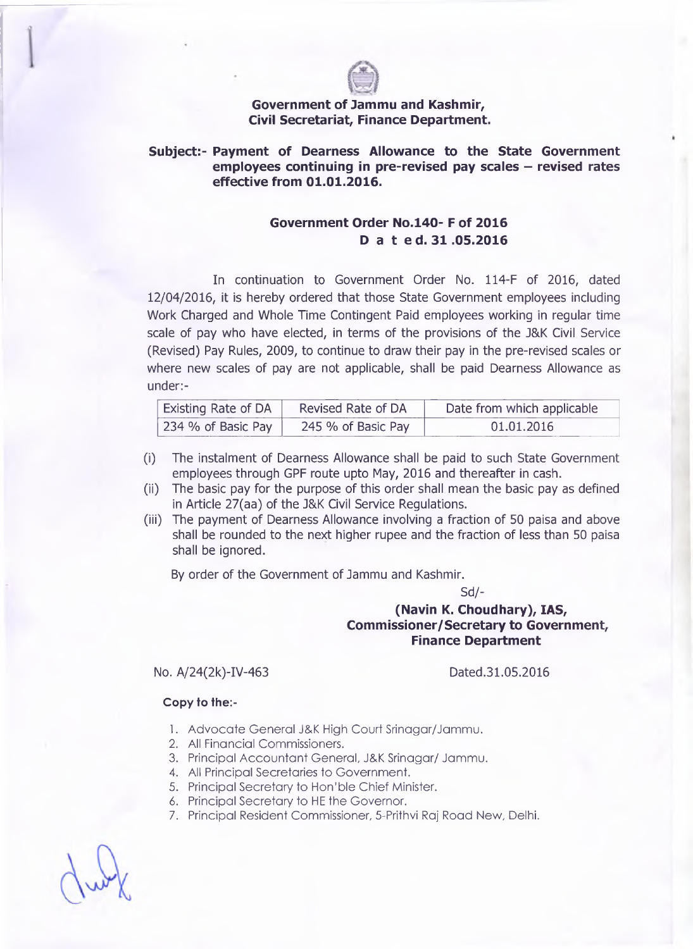

### **Government of Jammu and Kashmir, Civil Secretariat, Finance Department.**

### **Subject:- Payment of Dearness Allowance to the State Government** employees continuing in pre-revised pay scales – revised rates **effective from 01.01.2016.**

# **Government Order No.140- F of 2016 D a t ed. 31 .05.2016**

In continuation to Government Order No. 114-F of 2016, dated 12/04/2016, it is hereby ordered that those State Government employees including Work Charged and Whole Time Contingent Paid employees working in regular time scale of pay who have elected, in terms of the provisions of the J&K Civil Service (Revised) Pay Rules, 2009, to continue to draw their pay in the pre-revised scales or where new scales of pay are not applicable, shall be paid Dearness Allowance as under:-

| <b>Existing Rate of DA</b> | Revised Rate of DA | Date from which applicable |
|----------------------------|--------------------|----------------------------|
| 234 % of Basic Pay         | 245 % of Basic Pay | 01.01.2016                 |

- (i) The instalment of Dearness Allowance shall be paid to such State Government employees through GPF route upto May, 2016 and thereafter in cash.
- (ii) The basic pay for the purpose of this order shall mean the basic pay as defined in Article 27(aa) of the J&K Civil Service Regulations.
- (iii) The payment of Dearness Allowance involving a fraction of 50 paisa and above shall be rounded to the next higher rupee and the fraction of less than 50 paisa shall be ignored.

By order of the Government of Jammu and Kashmir.

Sd/-

# **(Navin K. Choudhary), IAS, Commissioner/Secretary to Government, Finance Department**

#### No. A/24(2k)-IV-463 Dated.31.05.2016

#### **Copy to the:-**

- 1. Advocate General J&K High Court Srinagar/Jammu.
- 2. All Financial Commissioners.
- 3. Principal Accountant General, J&K Srinagar/ Jammu.
- 4. All Principal Secretaries to Government.
- 5. Principal Secretary to Hon'ble Chief Minister.
- 6. Principal Secretary to HE the Governor.
- 7. Principal Resident Commissioner, 5-Prithvi Raj Road New, Delhi.